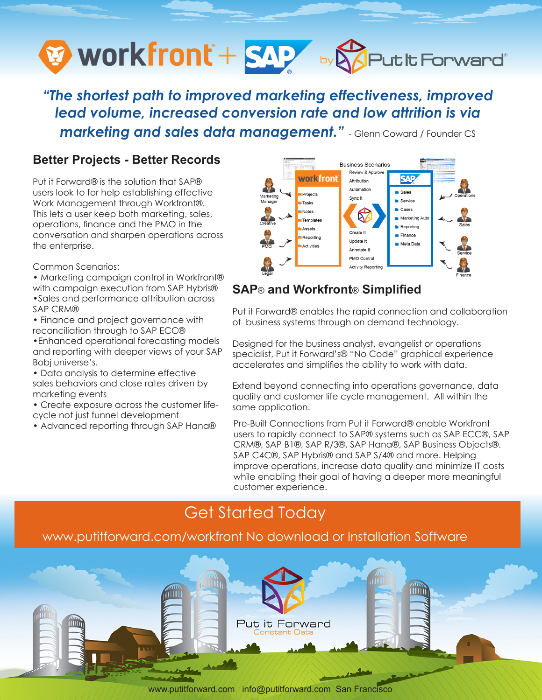

*"The shortest path to improved marketing effectiveness, improved lead volume, increased conversion rate and low attrition is via marketing and sales data management."* - Glenn Coward / Founder CS

### **Better Projects - Better Records**

Put it Forward® is the solution that SAP® users look to for help establishing effective Work Management through Workfront®. This lets a user keep both marketing, sales, operations, finance and the PMO in the conversation and sharpen operations across the enterprise.

Common Scenarios:

- Marketing campaign control in Workfront®
- with campaign execution from SAP Hybris® •Sales and performance attribution across
- SAP CRM®
- Finance and project governance with reconciliation through to SAP ECC®
- •Enhanced operational forecasting models and reporting with deeper views of your SAP Bobj universe's.
- Data analysis to determine effective sales behaviors and close rates driven by marketing events
- Create exposure across the customer lifecycle not just funnel development
- Advanced reporting through SAP Hana®



### **SAP**® **and Workfront**® **Simplified**

Put it Forward® enables the rapid connection and collaboration of business systems through on demand technology.

Designed for the business analyst, evangelist or operations specialist, Put it Forward's® "No Code" graphical experience accelerates and simplifies the ability to work with data.

Extend beyond connecting into operations governance, data quality and customer life cycle management. All within the same application.

Pre-Built Connections from Put it Forward® enable Workfront users to rapidly connect to SAP® systems such as SAP ECC®, SAP CRM®, SAP B1®, SAP R/3®, SAP Hana®, SAP Business Objects®. SAP C4C®, SAP Hybris® and SAP S/4® and more. Helping improve operations, increase data quality and minimize IT costs while enabling their goal of having a deeper more meaningful customer experience.

# Get Started Today

### www.putitforward.com/workfront No download or Installation Software



www.putitforward.com info@putitforward.com San Francisco